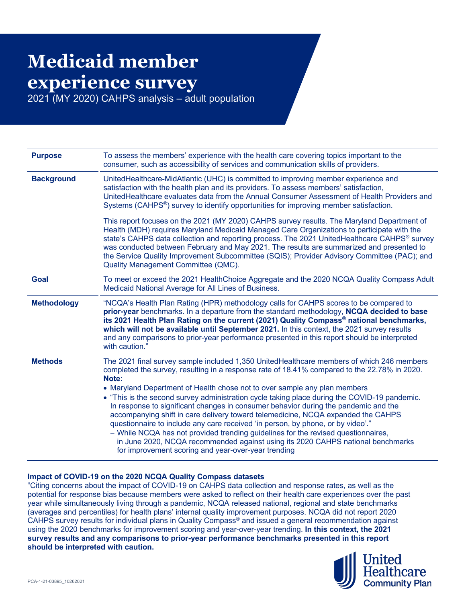## **Medicaid member experience survey**

2021 (MY 2020) CAHPS analysis – adult population

| <b>Purpose</b>     | To assess the members' experience with the health care covering topics important to the<br>consumer, such as accessibility of services and communication skills of providers.                                                                                                                                                                                                                                                                                                                                                                                                                                                                                                                                                                                                                                                                                                |
|--------------------|------------------------------------------------------------------------------------------------------------------------------------------------------------------------------------------------------------------------------------------------------------------------------------------------------------------------------------------------------------------------------------------------------------------------------------------------------------------------------------------------------------------------------------------------------------------------------------------------------------------------------------------------------------------------------------------------------------------------------------------------------------------------------------------------------------------------------------------------------------------------------|
| <b>Background</b>  | UnitedHealthcare-MidAtlantic (UHC) is committed to improving member experience and<br>satisfaction with the health plan and its providers. To assess members' satisfaction,<br>UnitedHealthcare evaluates data from the Annual Consumer Assessment of Health Providers and<br>Systems (CAHPS <sup>®</sup> ) survey to identify opportunities for improving member satisfaction.                                                                                                                                                                                                                                                                                                                                                                                                                                                                                              |
|                    | This report focuses on the 2021 (MY 2020) CAHPS survey results. The Maryland Department of<br>Health (MDH) requires Maryland Medicaid Managed Care Organizations to participate with the<br>state's CAHPS data collection and reporting process. The 2021 UnitedHealthcare CAHPS® survey<br>was conducted between February and May 2021. The results are summarized and presented to<br>the Service Quality Improvement Subcommittee (SQIS); Provider Advisory Committee (PAC); and<br>Quality Management Committee (QMC).                                                                                                                                                                                                                                                                                                                                                   |
| <b>Goal</b>        | To meet or exceed the 2021 HealthChoice Aggregate and the 2020 NCQA Quality Compass Adult<br>Medicaid National Average for All Lines of Business.                                                                                                                                                                                                                                                                                                                                                                                                                                                                                                                                                                                                                                                                                                                            |
| <b>Methodology</b> | "NCQA's Health Plan Rating (HPR) methodology calls for CAHPS scores to be compared to<br>prior-year benchmarks. In a departure from the standard methodology, NCQA decided to base<br>its 2021 Health Plan Rating on the current (2021) Quality Compass <sup>®</sup> national benchmarks,<br>which will not be available until September 2021. In this context, the 2021 survey results<br>and any comparisons to prior-year performance presented in this report should be interpreted<br>with caution."                                                                                                                                                                                                                                                                                                                                                                    |
| <b>Methods</b>     | The 2021 final survey sample included 1,350 UnitedHealthcare members of which 246 members<br>completed the survey, resulting in a response rate of 18.41% compared to the 22.78% in 2020.<br>Note:<br>• Maryland Department of Health chose not to over sample any plan members<br>• "This is the second survey administration cycle taking place during the COVID-19 pandemic.<br>In response to significant changes in consumer behavior during the pandemic and the<br>accompanying shift in care delivery toward telemedicine, NCQA expanded the CAHPS<br>questionnaire to include any care received 'in person, by phone, or by video'."<br>- While NCQA has not provided trending guidelines for the revised questionnaires,<br>in June 2020, NCQA recommended against using its 2020 CAHPS national benchmarks<br>for improvement scoring and year-over-year trending |

## **Impact of COVID-19 on the 2020 NCQA Quality Compass datasets**

"Citing concerns about the impact of COVID-19 on CAHPS data collection and response rates, as well as the potential for response bias because members were asked to reflect on their health care experiences over the past year while simultaneously living through a pandemic, NCQA released national, regional and state benchmarks (averages and percentiles) for health plans' internal quality improvement purposes. NCQA did not report 2020 CAHPS survey results for individual plans in Quality Compass® and issued a general recommendation against using the 2020 benchmarks for improvement scoring and year-over-year trending. **In this context, the 2021 survey results and any comparisons to prior-year performance benchmarks presented in this report should be interpreted with caution.**

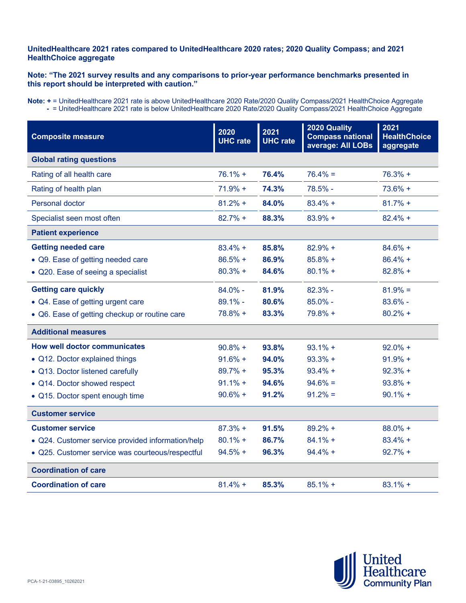## **UnitedHealthcare 2021 rates compared to UnitedHealthcare 2020 rates; 2020 Quality Compass; and 2021 HealthChoice aggregate**

## **Note: "The 2021 survey results and any comparisons to prior-year performance benchmarks presented in this report should be interpreted with caution."**

**Note: +** = UnitedHealthcare 2021 rate is above UnitedHealthcare 2020 Rate/2020 Quality Compass/2021 HealthChoice Aggregate **-** = UnitedHealthcare 2021 rate is below UnitedHealthcare 2020 Rate/2020 Quality Compass/2021 HealthChoice Aggregate

| <b>Composite measure</b>                          | 2020<br><b>UHC</b> rate | 2021<br><b>UHC</b> rate | 2020 Quality<br><b>Compass national</b><br>average: All LOBs | 2021<br><b>HealthChoice</b><br>aggregate |  |
|---------------------------------------------------|-------------------------|-------------------------|--------------------------------------------------------------|------------------------------------------|--|
| <b>Global rating questions</b>                    |                         |                         |                                                              |                                          |  |
| Rating of all health care                         | $76.1% +$               | 76.4%                   | $76.4\% =$                                                   | $76.3% +$                                |  |
| Rating of health plan                             | $71.9% +$               | 74.3%                   | 78.5% -                                                      | $73.6% +$                                |  |
| Personal doctor                                   | $81.2%$ +               | 84.0%                   | $83.4% +$                                                    | $81.7% +$                                |  |
| Specialist seen most often                        | $82.7%$ +               | 88.3%                   | $83.9% +$                                                    | $82.4% +$                                |  |
| <b>Patient experience</b>                         |                         |                         |                                                              |                                          |  |
| <b>Getting needed care</b>                        | $83.4% +$               | 85.8%                   | $82.9% +$                                                    | $84.6% +$                                |  |
| • Q9. Ease of getting needed care                 | $86.5%$ +               | 86.9%                   | $85.8% +$                                                    | $86.4% +$                                |  |
| • Q20. Ease of seeing a specialist                | $80.3% +$               | 84.6%                   | $80.1%$ +                                                    | $82.8% +$                                |  |
| <b>Getting care quickly</b>                       | $84.0\%$ -              | 81.9%                   | $82.3% -$                                                    | $81.9\% =$                               |  |
| • Q4. Ease of getting urgent care                 | $89.1% -$               | 80.6%                   | $85.0\%$ -                                                   | $83.6\%$ -                               |  |
| • Q6. Ease of getting checkup or routine care     | $78.8% +$               | 83.3%                   | $79.8% +$                                                    | $80.2%$ +                                |  |
| <b>Additional measures</b>                        |                         |                         |                                                              |                                          |  |
| <b>How well doctor communicates</b>               | $90.8% +$               | 93.8%                   | $93.1% +$                                                    | $92.0\% +$                               |  |
| • Q12. Doctor explained things                    | $91.6% +$               | 94.0%                   | $93.3% +$                                                    | $91.9% +$                                |  |
| • Q13. Doctor listened carefully                  | $89.7% +$               | 95.3%                   | $93.4% +$                                                    | $92.3% +$                                |  |
| • Q14. Doctor showed respect                      | $91.1% +$               | 94.6%                   | $94.6\% =$                                                   | $93.8% +$                                |  |
| • Q15. Doctor spent enough time                   | $90.6% +$               | 91.2%                   | $91.2\% =$                                                   | $90.1%$ +                                |  |
| <b>Customer service</b>                           |                         |                         |                                                              |                                          |  |
| <b>Customer service</b>                           | $87.3% +$               | 91.5%                   | $89.2% +$                                                    | $88.0\% +$                               |  |
| • Q24. Customer service provided information/help | $80.1% +$               | 86.7%                   | $84.1% +$                                                    | $83.4% +$                                |  |
| · Q25. Customer service was courteous/respectful  | $94.5% +$               | 96.3%                   | $94.4% +$                                                    | $92.7% +$                                |  |
| <b>Coordination of care</b>                       |                         |                         |                                                              |                                          |  |
| <b>Coordination of care</b>                       | $81.4% +$               | 85.3%                   | $85.1%$ +                                                    | $83.1% +$                                |  |